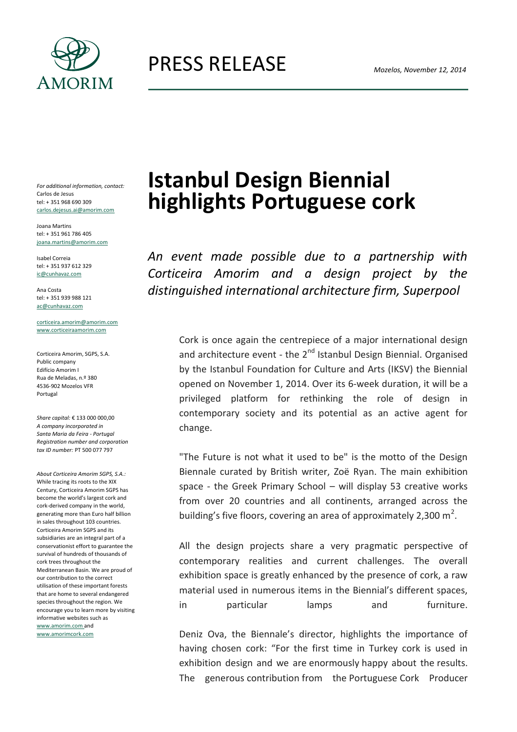

PRESS RELEASE

*For additional information, contact:* Carlos de Jesus tel: + 351 968 690 309 carlos.dejesus.ai@amorim.com

Joana Martins tel: + 351 961 786 405 joana.martins@amorim.com

Isabel Correia tel: + 351 937 612 329 ic@cunhavaz.com

Ana Costa tel: + 351 939 988 121 [ac@cunhavaz.com](mailto:ac@cunhavaz.com)

[corticeira.amorim@amorim.com](mailto:corticeira.amorim@amorim.com) [www.corticeiraamorim.com](http://www.corticeiraamorim.com/)

Corticeira Amorim, SGPS, S.A. Public company Edifício Amorim I Rua de Meladas, n.º 380 4536-902 Mozelos VFR Portugal

*Share capital:* € 133 000 000,00 *A company incorporated in Santa Maria da Feira - Portugal Registration number and corporation tax ID number:* PT 500 077 797

*About Corticeira Amorim SGPS, S.A.:*  While tracing its roots to the XIX Century, Corticeira Amorim SGPS has become the world's largest cork and cork-derived company in the world, generating more than Euro half billion in sales throughout 103 countries. Corticeira Amorim SGPS and its subsidiaries are an integral part of a conservationist effort to guarantee the survival of hundreds of thousands of cork trees throughout the Mediterranean Basin. We are proud of our contribution to the correct utilisation of these important forests that are home to several endangered species throughout the region. We encourage you to learn more by visiting informative websites such as www.amorim.com and

www.amorimcork.com

## **Istanbul Design Biennial highlights Portuguese cork**

*An event made possible due to a partnership with Corticeira Amorim and a design project by the distinguished international architecture firm, Superpool*

> Cork is once again the centrepiece of a major international design and architecture event - the  $2^{nd}$  Istanbul Design Biennial. Organised by the Istanbul Foundation for Culture and Arts (IKSV) the Biennial opened on November 1, 2014. Over its 6-week duration, it will be a privileged platform for rethinking the role of design in contemporary society and its potential as an active agent for change.

> "The Future is not what it used to be" is the motto of the Design Biennale curated by British writer, Zoë Ryan. The main exhibition space - the Greek Primary School – will display 53 creative works from over 20 countries and all continents, arranged across the building's five floors, covering an area of approximately 2,300 m<sup>2</sup>.

> All the design projects share a very pragmatic perspective of contemporary realities and current challenges. The overall exhibition space is greatly enhanced by the presence of cork, a raw material used in numerous items in the Biennial's different spaces, in particular lamps and furniture.

> Deniz Ova, the Biennale's director, highlights the importance of having chosen cork: "For the first time in Turkey cork is used in exhibition design and we are enormously happy about the results. The generous contribution from the Portuguese Cork Producer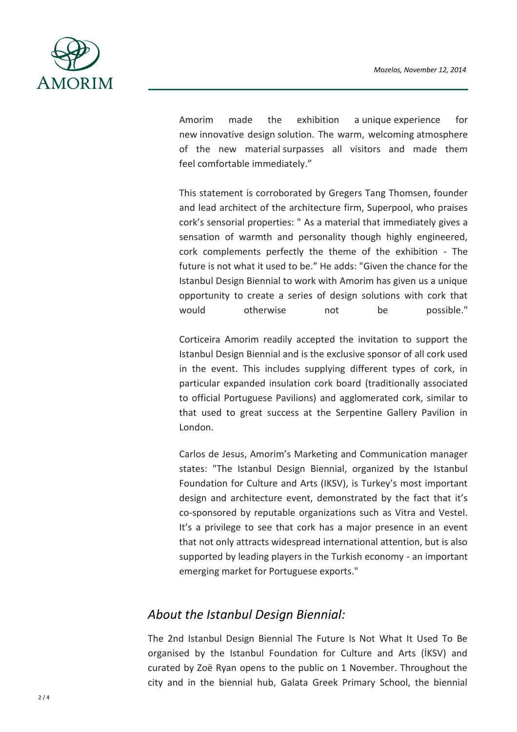

Amorim made the exhibition a unique experience for new innovative design solution. The warm, welcoming atmosphere of the new material surpasses all visitors and made them feel comfortable immediately."

This statement is corroborated by Gregers Tang Thomsen, founder and lead architect of the architecture firm, Superpool, who praises cork's sensorial properties: " As a material that immediately gives a sensation of warmth and personality though highly engineered, cork complements perfectly the theme of the exhibition - The future is not what it used to be." He adds: "Given the chance for the Istanbul Design Biennial to work with Amorim has given us a unique opportunity to create a series of design solutions with cork that would otherwise not be possible."

Corticeira Amorim readily accepted the invitation to support the Istanbul Design Biennial and is the exclusive sponsor of all cork used in the event. This includes supplying different types of cork, in particular expanded insulation cork board (traditionally associated to official Portuguese Pavilions) and agglomerated cork, similar to that used to great success at the Serpentine Gallery Pavilion in London.

Carlos de Jesus, Amorim's Marketing and Communication manager states: "The Istanbul Design Biennial, organized by the Istanbul Foundation for Culture and Arts (IKSV), is Turkey's most important design and architecture event, demonstrated by the fact that it's co-sponsored by reputable organizations such as Vitra and Vestel. It's a privilege to see that cork has a major presence in an event that not only attracts widespread international attention, but is also supported by leading players in the Turkish economy - an important emerging market for Portuguese exports."

## *About the Istanbul Design Biennial:*

The 2nd Istanbul Design Biennial The Future Is Not What It Used To Be organised by the Istanbul Foundation for Culture and Arts (İKSV) and curated by Zoë Ryan opens to the public on 1 November. Throughout the city and in the biennial hub, Galata Greek Primary School, the biennial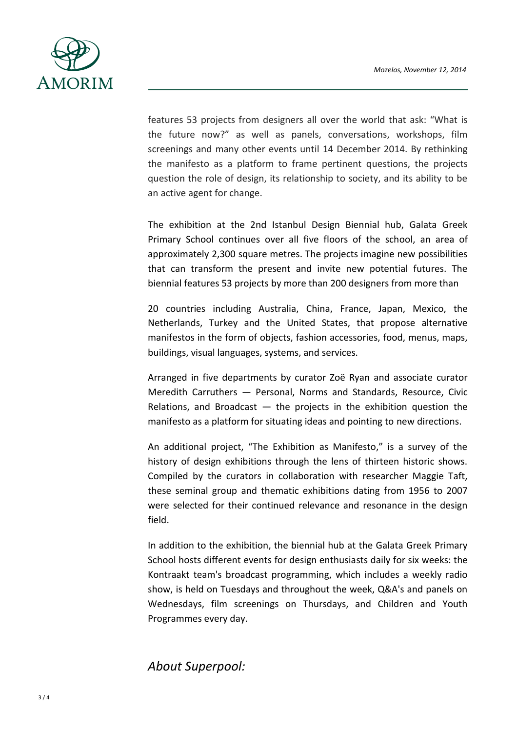

features 53 projects from designers all over the world that ask: "What is the future now?" as well as panels, conversations, workshops, film screenings and many other events until 14 December 2014. By rethinking the manifesto as a platform to frame pertinent questions, the projects question the role of design, its relationship to society, and its ability to be an active agent for change.

The exhibition at the 2nd Istanbul Design Biennial hub, Galata Greek Primary School continues over all five floors of the school, an area of approximately 2,300 square metres. The projects imagine new possibilities that can transform the present and invite new potential futures. The biennial features 53 projects by more than 200 designers from more than

20 countries including Australia, China, France, Japan, Mexico, the Netherlands, Turkey and the United States, that propose alternative manifestos in the form of objects, fashion accessories, food, menus, maps, buildings, visual languages, systems, and services.

Arranged in five departments by curator Zoë Ryan and associate curator Meredith Carruthers — Personal, Norms and Standards, Resource, Civic Relations, and Broadcast  $-$  the projects in the exhibition question the manifesto as a platform for situating ideas and pointing to new directions.

An additional project, "The Exhibition as Manifesto," is a survey of the history of design exhibitions through the lens of thirteen historic shows. Compiled by the curators in collaboration with researcher Maggie Taft, these seminal group and thematic exhibitions dating from 1956 to 2007 were selected for their continued relevance and resonance in the design field.

In addition to the exhibition, the biennial hub at the Galata Greek Primary School hosts different events for design enthusiasts daily for six weeks: the Kontraakt team's broadcast programming, which includes a weekly radio show, is held on Tuesdays and throughout the week, Q&A's and panels on Wednesdays, film screenings on Thursdays, and Children and Youth Programmes every day.

## *About Superpool:*